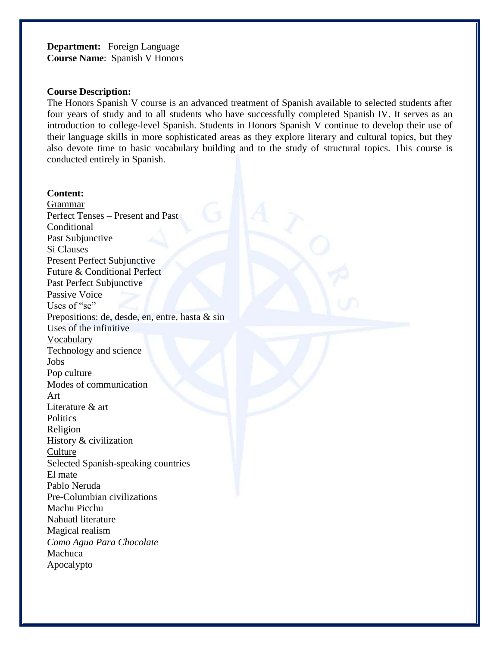**Department:** Foreign Language **Course Name**: Spanish V Honors

#### **Course Description:**

The Honors Spanish V course is an advanced treatment of Spanish available to selected students after four years of study and to all students who have successfully completed Spanish IV. It serves as an introduction to college-level Spanish. Students in Honors Spanish V continue to develop their use of their language skills in more sophisticated areas as they explore literary and cultural topics, but they also devote time to basic vocabulary building and to the study of structural topics. This course is conducted entirely in Spanish.

#### **Content:**

Grammar Perfect Tenses – Present and Past Conditional Past Subjunctive Si Clauses Present Perfect Subjunctive Future & Conditional Perfect Past Perfect Subjunctive Passive Voice Uses of "se" Prepositions: de, desde, en, entre, hasta & sin Uses of the infinitive Vocabulary Technology and science Jobs Pop culture Modes of communication Art Literature & art **Politics** Religion History & civilization Culture Selected Spanish-speaking countries El mate Pablo Neruda Pre-Columbian civilizations Machu Picchu Nahuatl literature Magical realism *Como Agua Para Chocolate*  Machuca Apocalypto